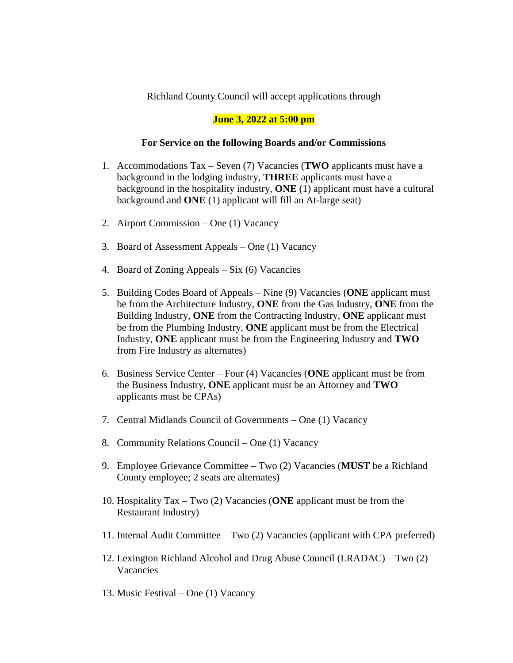## Richland County Council will accept applications through

## **June 3, 2022 at 5:00 pm**

## **For Service on the following Boards and/or Commissions**

- 1. Accommodations Tax Seven (7) Vacancies (**TWO** applicants must have a background in the lodging industry, **THREE** applicants must have a background in the hospitality industry, **ONE** (1) applicant must have a cultural background and **ONE** (1) applicant will fill an At-large seat)
- 2. Airport Commission One (1) Vacancy
- 3. Board of Assessment Appeals One (1) Vacancy
- 4. Board of Zoning Appeals Six (6) Vacancies
- 5. Building Codes Board of Appeals Nine (9) Vacancies (**ONE** applicant must be from the Architecture Industry, **ONE** from the Gas Industry, **ONE** from the Building Industry, **ONE** from the Contracting Industry, **ONE** applicant must be from the Plumbing Industry, **ONE** applicant must be from the Electrical Industry, **ONE** applicant must be from the Engineering Industry and **TWO** from Fire Industry as alternates)
- 6. Business Service Center Four (4) Vacancies (**ONE** applicant must be from the Business Industry, **ONE** applicant must be an Attorney and **TWO** applicants must be CPAs)
- 7. Central Midlands Council of Governments One (1) Vacancy
- 8. Community Relations Council One (1) Vacancy
- 9. Employee Grievance Committee Two (2) Vacancies (**MUST** be a Richland County employee; 2 seats are alternates)
- 10. Hospitality Tax Two (2) Vacancies (**ONE** applicant must be from the Restaurant Industry)
- 11. Internal Audit Committee Two (2) Vacancies (applicant with CPA preferred)
- 12. Lexington Richland Alcohol and Drug Abuse Council (LRADAC) Two (2) Vacancies
- 13. Music Festival One (1) Vacancy